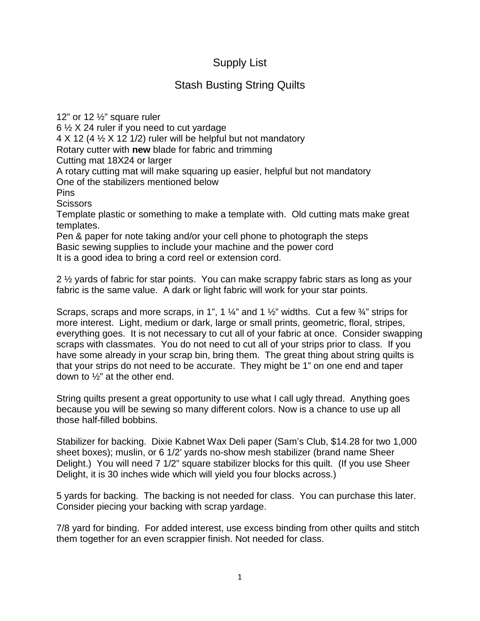## Supply List

## Stash Busting String Quilts

12" or 12 ½" square ruler 6 ½ X 24 ruler if you need to cut yardage  $4 \times 12$  (4  $\frac{1}{2} \times 12$  1/2) ruler will be helpful but not mandatory Rotary cutter with **new** blade for fabric and trimming Cutting mat 18X24 or larger A rotary cutting mat will make squaring up easier, helpful but not mandatory One of the stabilizers mentioned below Pins **Scissors** Template plastic or something to make a template with. Old cutting mats make great templates. Pen & paper for note taking and/or your cell phone to photograph the steps

Basic sewing supplies to include your machine and the power cord It is a good idea to bring a cord reel or extension cord.

2 ½ yards of fabric for star points. You can make scrappy fabric stars as long as your fabric is the same value. A dark or light fabric will work for your star points.

Scraps, scraps and more scraps, in 1", 1  $\frac{1}{4}$ " and 1  $\frac{1}{2}$ " widths. Cut a few  $\frac{3}{4}$ " strips for more interest. Light, medium or dark, large or small prints, geometric, floral, stripes, everything goes. It is not necessary to cut all of your fabric at once. Consider swapping scraps with classmates. You do not need to cut all of your strips prior to class. If you have some already in your scrap bin, bring them. The great thing about string quilts is that your strips do not need to be accurate. They might be 1" on one end and taper down to ½" at the other end.

String quilts present a great opportunity to use what I call ugly thread. Anything goes because you will be sewing so many different colors. Now is a chance to use up all those half-filled bobbins.

Stabilizer for backing. Dixie Kabnet Wax Deli paper (Sam's Club, \$14.28 for two 1,000 sheet boxes); muslin, or 6 1/2' yards no-show mesh stabilizer (brand name Sheer Delight.) You will need 7 1/2" square stabilizer blocks for this quilt. (If you use Sheer Delight, it is 30 inches wide which will yield you four blocks across.)

5 yards for backing. The backing is not needed for class. You can purchase this later. Consider piecing your backing with scrap yardage.

7/8 yard for binding. For added interest, use excess binding from other quilts and stitch them together for an even scrappier finish. Not needed for class.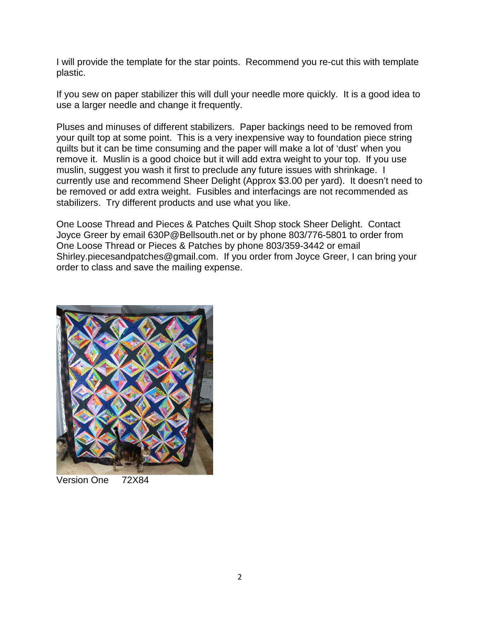I will provide the template for the star points. Recommend you re-cut this with template plastic.

If you sew on paper stabilizer this will dull your needle more quickly. It is a good idea to use a larger needle and change it frequently.

Pluses and minuses of different stabilizers. Paper backings need to be removed from your quilt top at some point. This is a very inexpensive way to foundation piece string quilts but it can be time consuming and the paper will make a lot of 'dust' when you remove it. Muslin is a good choice but it will add extra weight to your top. If you use muslin, suggest you wash it first to preclude any future issues with shrinkage. I currently use and recommend Sheer Delight (Approx \$3.00 per yard). It doesn't need to be removed or add extra weight. Fusibles and interfacings are not recommended as stabilizers. Try different products and use what you like.

One Loose Thread and Pieces & Patches Quilt Shop stock Sheer Delight. Contact Joyce Greer by email 630P@Bellsouth.net or by phone 803/776-5801 to order from One Loose Thread or Pieces & Patches by phone 803/359-3442 or email Shirley.piecesandpatches@gmail.com. If you order from Joyce Greer, I can bring your order to class and save the mailing expense.



Version One 72X84